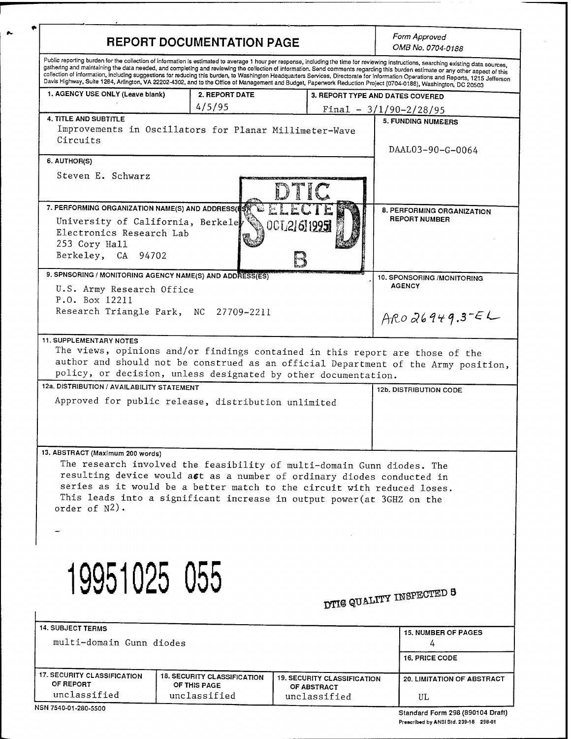| <b>REPORT DOCUMENTATION PAGE</b>                                                                                                                               |                                                                                                                                                                                                                                                                                                       |                                                   | Form Approved<br>OMB No. 0704-0188                                                                                                                                                                                                                                                                                                                                                                                                                                                                                                                              |
|----------------------------------------------------------------------------------------------------------------------------------------------------------------|-------------------------------------------------------------------------------------------------------------------------------------------------------------------------------------------------------------------------------------------------------------------------------------------------------|---------------------------------------------------|-----------------------------------------------------------------------------------------------------------------------------------------------------------------------------------------------------------------------------------------------------------------------------------------------------------------------------------------------------------------------------------------------------------------------------------------------------------------------------------------------------------------------------------------------------------------|
| Davis Highway, Suite 1284, Arlington, VA 22202-4302, and to the Office of Management and Budget, Paperwork Reduction Project (0704-0188), Washington, DC 20503 |                                                                                                                                                                                                                                                                                                       |                                                   | Public reporting burden for the collection of information is estimated to average 1 hour per response, including the time for reviewing instructions, searching existing data sources,<br>gathering and maintaining the data needed, and completing and reviewing the collection of information. Send comments regarding this burden estimate or any other aspect of this<br>collection of information, including suggestions for reducing this burden, to Washington Headquarters Services, Directorate for information Operations and Reports, 1215 Jefferson |
| 1. AGENCY USE ONLY (Leave blank)                                                                                                                               | 2. REPORT DATE                                                                                                                                                                                                                                                                                        |                                                   | 3. REPORT TYPE AND DATES COVERED                                                                                                                                                                                                                                                                                                                                                                                                                                                                                                                                |
|                                                                                                                                                                | 4/5/95                                                                                                                                                                                                                                                                                                |                                                   | $Final - 3/1/90 - 2/28/95$                                                                                                                                                                                                                                                                                                                                                                                                                                                                                                                                      |
| <b>4. TITLE AND SUBTITLE</b><br>Circuits                                                                                                                       | Improvements in Oscillators for Planar Millimeter-Wave                                                                                                                                                                                                                                                |                                                   | <b>5. FUNDING NUMEERS</b><br>DAAL03-90-G-0064                                                                                                                                                                                                                                                                                                                                                                                                                                                                                                                   |
| 6. AUTHOR(S)                                                                                                                                                   |                                                                                                                                                                                                                                                                                                       |                                                   |                                                                                                                                                                                                                                                                                                                                                                                                                                                                                                                                                                 |
| Steven E. Schwarz                                                                                                                                              |                                                                                                                                                                                                                                                                                                       | HL                                                |                                                                                                                                                                                                                                                                                                                                                                                                                                                                                                                                                                 |
| 7. PERFORMING ORGANIZATION NAME(S) AND ADDRESS(#S)<br>University of California, Berkeley<br>Electronics Research Lab<br>253 Cory Hall<br>Berkeley, CA 94702    |                                                                                                                                                                                                                                                                                                       | 0CT216119951                                      | 8. PERFORMING ORGANIZATION<br><b>REPORT NUMBER</b>                                                                                                                                                                                                                                                                                                                                                                                                                                                                                                              |
| 9. SPNSORING / MONITORING AGENCY NAME(S) AND ADDRESS(ES)                                                                                                       |                                                                                                                                                                                                                                                                                                       |                                                   | 10. SPONSORING /MONITORING                                                                                                                                                                                                                                                                                                                                                                                                                                                                                                                                      |
| U.S. Army Research Office<br>P.O. Box 12211                                                                                                                    | Research Triangle Park, NC 27709-2211                                                                                                                                                                                                                                                                 |                                                   | <b>AGENCY</b>                                                                                                                                                                                                                                                                                                                                                                                                                                                                                                                                                   |
|                                                                                                                                                                |                                                                                                                                                                                                                                                                                                       |                                                   | $AROQ6949.3-EL$                                                                                                                                                                                                                                                                                                                                                                                                                                                                                                                                                 |
| 12a. DISTRIBUTION / AVAILABILITY STATEMENT                                                                                                                     |                                                                                                                                                                                                                                                                                                       |                                                   |                                                                                                                                                                                                                                                                                                                                                                                                                                                                                                                                                                 |
|                                                                                                                                                                | Approved for public release, distribution unlimited                                                                                                                                                                                                                                                   |                                                   | 12b. DISTRIBUTION CODE                                                                                                                                                                                                                                                                                                                                                                                                                                                                                                                                          |
| 13. ABSTRACT (Maximum 200 words)<br>order of $N^2$ ).                                                                                                          | The research involved the feasibility of multi-domain Gunn diodes. The<br>resulting device would ast as a number of ordinary diodes conducted in<br>series as it would be a better match to the circuit with reduced loses.<br>This leads into a significant increase in output power (at 3GHZ on the |                                                   |                                                                                                                                                                                                                                                                                                                                                                                                                                                                                                                                                                 |
| 19951025 055<br><b>14. SUBJECT TERMS</b><br>multi-domain Gunn diodes                                                                                           |                                                                                                                                                                                                                                                                                                       |                                                   | DTIG QUALITY INSPECTED 8<br><b>15. NUMBER OF PAGES</b><br>4<br><b>16. PRICE CODE</b>                                                                                                                                                                                                                                                                                                                                                                                                                                                                            |
|                                                                                                                                                                |                                                                                                                                                                                                                                                                                                       |                                                   |                                                                                                                                                                                                                                                                                                                                                                                                                                                                                                                                                                 |
| <b>17. SECURITY CLASSIFICATION</b><br>OF REPORT                                                                                                                | <b>18. SECURITY CLASSIFICATION</b><br>OF THIS PAGE                                                                                                                                                                                                                                                    | <b>19. SECURITY CLASSIFICATION</b><br>OF ABSTRACT | <b>20. LIMITATION OF ABSTRACT</b>                                                                                                                                                                                                                                                                                                                                                                                                                                                                                                                               |

 $\sim$ 

**Standard Form 298 (890104 Draft) Prescribed by ANSI Std. 239-18 298-01**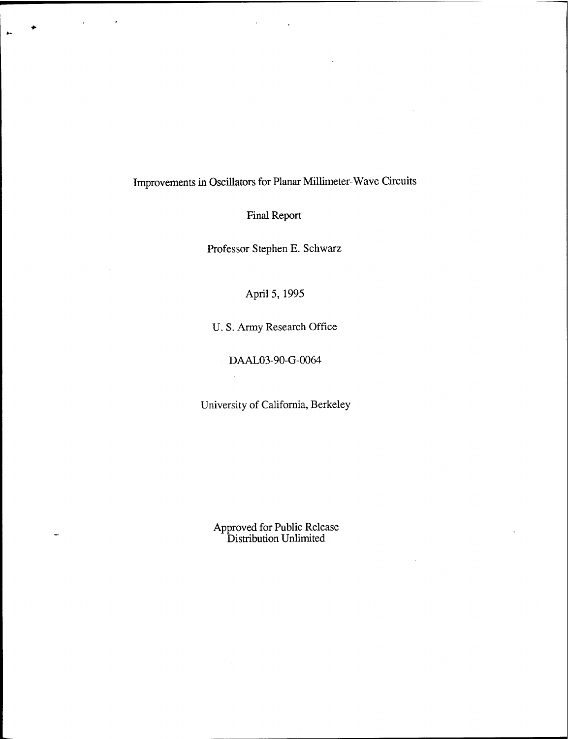# Improvements in Oscillators for Planar Millimeter-Wave Circuits

Final Report

Professor Stephen E. Schwarz

# April 5, 1995

U. S. Army Research Office

DAAL03-90-G-0064

÷,

University of California, Berkeley

Approved for Public Release Distribution Unlimited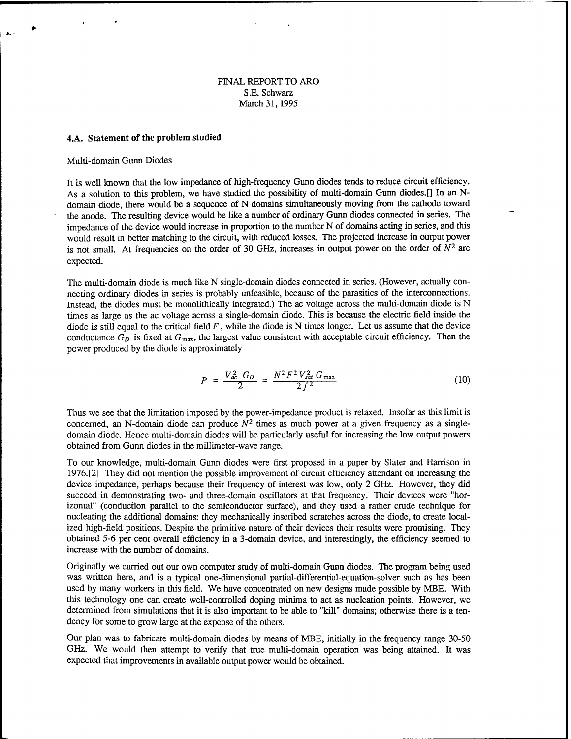#### FINAL REPORT TO ARO S.E. Schwarz March 31,1995

#### **4.A. Statement of the problem studied**

#### Multi-domain Gunn Diodes

It is well known that the low impedance of high-frequency Gunn diodes tends to reduce circuit efficiency. As a solution to this problem, we have studied the possibility of multi-domain Gunn diodes.[] In an Ndomain diode, there would be a sequence of N domains simultaneously moving from the cathode toward the anode. The resulting device would be like a number of ordinary Gunn diodes connected in series. The impedance of the device would increase in proportion to the number N of domains acting in series, and this would result in better matching to the circuit, with reduced losses. The projected increase in output power is not small. At frequencies on the order of 30 GHz, increases in output power on the order of  $N^2$  are expected.

The multi-domain diode is much like N single-domain diodes connected in series. (However, actually connecting ordinary diodes in series is probably unfeasible, because of the parasitics of the interconnections. Instead, the diodes must be monolithically integrated.) The ac voltage across the multi-domain diode is N times as large as the ac voltage across a single-domain diode. This is because the electric field inside the diode is still equal to the critical field  $F$ , while the diode is N times longer. Let us assume that the device conductance  $G_D$  is fixed at  $G_{\text{max}}$ , the largest value consistent with acceptable circuit efficiency. Then the power produced by the diode is approximately

$$
P \approx \frac{V_{ac}^2 G_D}{2} \approx \frac{N^2 F^2 V_{sat}^2 G_{\text{max}}}{2f^2} \tag{10}
$$

Thus we see that the limitation imposed by the power-impedance product is relaxed. Insofar as this limit is concerned, an N-domain diode can produce  $N^2$  times as much power at a given frequency as a singledomain diode. Hence multi-domain diodes will be particularly useful for increasing the low output powers obtained from Gunn diodes in the millimeter-wave range.

To our knowledge, multi-domain Gunn diodes were first proposed in a paper by Slater and Harrison in 1976.[2] They did not mention the possible improvement of circuit efficiency attendant on increasing the device impedance, perhaps because their frequency of interest was low, only 2 GHz. However, they did succeed in demonstrating two- and three-domain oscillators at that frequency. Their devices were "horizontal" (conduction parallel to the semiconductor surface), and they used a rather crude technique for nucleating the additional domains: they mechanically inscribed scratches across the diode, to create localized high-field positions. Despite the primitive nature of their devices their results were promising. They obtained 5-6 per cent overall efficiency in a 3-domain device, and interestingly, the efficiency seemed to increase with the number of domains.

Originally we carried out our own computer study of multi-domain Gunn diodes. The program being used was written here, and is a typical one-dimensional partial-differential-equation-solver such as has been used by many workers in this field. We have concentrated on new designs made possible by MBE. With this technology one can create well-controlled doping minima to act as nucleation points. However, we determined from simulations that it is also important to be able to "kill" domains; otherwise there is a tendency for some to grow large at the expense of the others.

Our plan was to fabricate multi-domain diodes by means of MBE, initially in the frequency range 30-50 GHz. We would then attempt to verify that true multi-domain operation was being attained. It was expected that improvements in available output power would be obtained.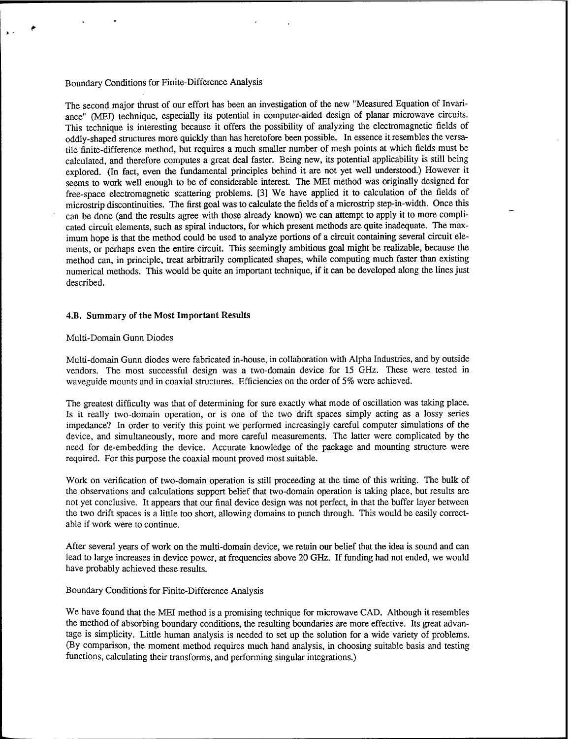## Boundary Conditions for Finite-Difference Analysis

The second major thrust of our effort has been an investigation of the new "Measured Equation of Invariance" (MEI) technique, especially its potential in computer-aided design of planar microwave circuits. This technique is interesting because it offers the possibility of analyzing the electromagnetic fields of oddly-shaped structures more quickly than has heretofore been possible. In essence it resembles the versatile finite-difference method, but requires a much smaller number of mesh points at which fields must be calculated, and therefore computes a great deal faster. Being new, its potential applicability is still being explored. (In fact, even the fundamental principles behind it are not yet well understood.) However it seems to work well enough to be of considerable interest. The MEI method was originally designed for free-space electromagnetic scattering problems. [3] We have applied it to calculation of the fields of microstrip discontinuities. The first goal was to calculate the fields of a microstrip step-in-width. Once this can be done (and the results agree with those already known) we can attempt to apply it to more complicated circuit elements, such as spiral inductors, for which present methods are quite inadequate. The maximum hope is that the method could be used to analyze portions of a circuit containing several circuit elements, or perhaps even the entire circuit. This seemingly ambitious goal might be realizable, because the method can, in principle, treat arbitrarily complicated shapes, while computing much faster than existing numerical methods. This would be quite an important technique, if it can be developed along the lines just described.

#### **4.B. Summary of the Most Important Results**

#### Multi-Domain Gunn Diodes

Multi-domain Gunn diodes were fabricated in-house, in collaboration with Alpha Industries, and by outside vendors. The most successful design was a two-domain device for 15 GHz. These were tested in waveguide mounts and in coaxial structures. Efficiencies on the order of 5% were achieved.

The greatest difficulty was that of determining for sure exactly what mode of oscillation was taking place. Is it really two-domain operation, or is one of the two drift spaces simply acting as a lossy series impedance? In order to verify this point we performed increasingly careful computer simulations of the device, and simultaneously, more and more careful measurements. The latter were complicated by the need for de-embedding the device. Accurate knowledge of the package and mounting structure were required. For this purpose the coaxial mount proved most suitable.

Work on verification of two-domain operation is still proceeding at the time of this writing. The bulk of the observations and calculations support belief that two-domain operation is taking place, but results are not yet conclusive. It appears that our final device design was not perfect, in that the buffer layer between the two drift spaces is a little too short, allowing domains to punch through. This would be easily correctable if work were to continue.

After several years of work on the multi-domain device, we retain our belief that the idea is sound and can lead to large increases in device power, at frequencies above 20 GHz. If funding had not ended, we would have probably achieved these results.

#### Boundary Conditions for Finite-Difference Analysis

We have found that the MEI method is a promising technique for microwave CAD. Although it resembles the method of absorbing boundary conditions, the resulting boundaries are more effective. Its great advantage is simplicity. Little human analysis is needed to set up the solution for a wide variety of problems. (By comparison, the moment method requires much hand analysis, in choosing suitable basis and testing functions, calculating their transforms, and performing singular integrations.)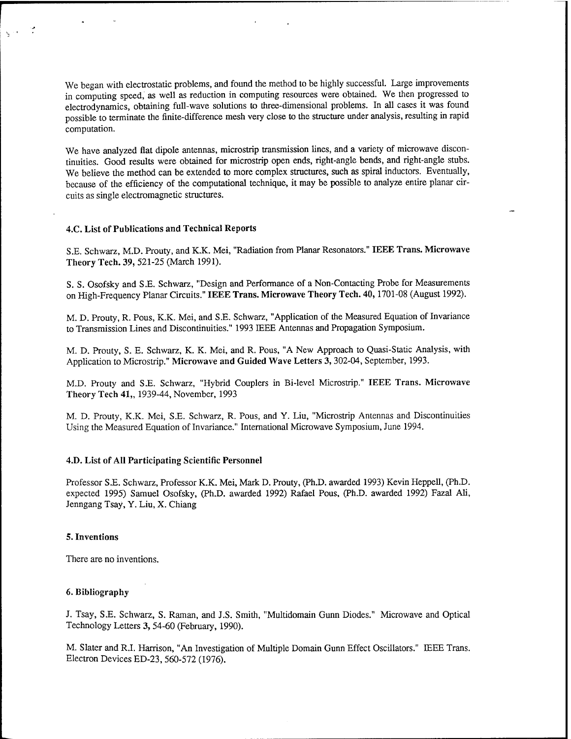We began with electrostatic problems, and found the method to be highly successful. Large improvements in computing speed, as well as reduction in computing resources were obtained. We then progressed to electrodynamics, obtaining full-wave solutions to three-dimensional problems. In all cases it was found possible to terminate the finite-difference mesh very close to the structure under analysis, resulting in rapid computation.

We have analyzed flat dipole antennas, microstrip transmission lines, and **a** variety of microwave discontinuities. Good results were obtained for microstrip open ends, right-angle bends, and right-angle stubs. We believe the method can be extended to more complex structures, such as spiral inductors. Eventually, because of the efficiency of the computational technique, it may be possible to analyze entire planar circuits as single electromagnetic structures.

### **4.C. List of Publications and Technical Reports**

S.E. Schwarz, M.D. Prouty, and K.K. Mei, "Radiation from Planar Resonators." **IEEE Trans. Microwave** Theory Tech. 39, 521-25 (March 1991).

S.S. Osofsky and S.E. Schwarz, "Design and Performance of a Non-Contacting Probe for Measurements on High-Frequency Planar Circuits." **IEEE Trans. Microwave Theory Tech. 40,**1701-08 (August 1992).

M. D. Prouty, R. Pous, K.K. Mei, and S.E. Schwarz, "Application of the Measured Equation of Invariance to Transmission Lines and Discontinuities." 1993 IEEE Antennas and Propagation Symposium.

M. D. Prouty, S. E. Schwarz, K. K. Mei, and R. Pous, "A New Approach to Quasi-Static Analysis, with Application to Microstrip." **Microwave and Guided Wave Letters 3,** 302-04, September, 1993.

M.D. Prouty and S.E. Schwarz, "Hybrid Couplers in Bi-level Microstrip." IEEE Trans. Microwave Theory Tech 41,, 1939-44, November, 1993

M. D. Prouty, K.K. Mei, S.E. Schwarz, R. Pous, and Y. Liu, "Microstrip Antennas and Discontinuities Using the Measured Equation of Invariance." International Microwave Symposium, June 1994.

#### **4.D. List of All Participating Scientific Personnel**

Professor S.E. Schwarz, Professor K.K. Mei, Mark D. Prouty, (Ph.D. awarded 1993) Kevin Heppell, (Ph.D. expected 1995) Samuel Osofsky, (Ph.D. awarded 1992) Rafael Pous, (Ph.D. awarded 1992) Fazal Ali, Jenngang Tsay, Y. Liu, X. Chiang

#### **5. Inventions**

There are no inventions.

#### 6. **Bibliography**

J. Tsay, S.E. Schwarz, S. Raman, and J.S. Smith, "Multidomain Gunn Diodes." Microwave and Optical Technology Letters 3, 54-60 (February, 1990).

M. Slater and R.I. Harrison, "An Investigation of Multiple Domain Gunn Effect Oscillators." IEEE Trans. Electron Devices ED-23, 560-572 (1976).